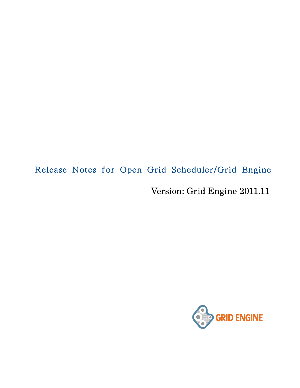# Release Notes for Open Grid Scheduler/Grid Engine

Version: Grid Engine 2011.11

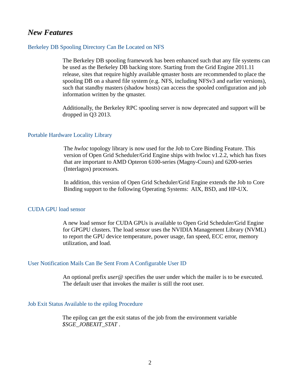### *New Features*

#### Berkeley DB Spooling Directory Can Be Located on NFS

The Berkeley DB spooling framework has been enhanced such that any file systems can be used as the Berkeley DB backing store. Starting from the Grid Engine 2011.11 release, sites that require highly available qmaster hosts are recommended to place the spooling DB on a shared file system (e.g. NFS, including NFSv3 and earlier versions), such that standby masters (shadow hosts) can access the spooled configuration and job information written by the qmaster.

Additionally, the Berkeley RPC spooling server is now deprecated and support will be dropped in Q3 2013.

#### Portable Hardware Locality Library

The *hwloc* topology library is now used for the Job to Core Binding Feature. This version of Open Grid Scheduler/Grid Engine ships with hwloc v1.2.2, which has fixes that are important to AMD Opteron 6100-series (Magny-Cours) and 6200-series (Interlagos) processors.

In addition, this version of Open Grid Scheduler/Grid Engine extends the Job to Core Binding support to the following Operating Systems: AIX, BSD, and HP-UX.

#### CUDA GPU load sensor

A new load sensor for CUDA GPUs is available to Open Grid Scheduler/Grid Engine for GPGPU clusters. The load sensor uses the NVIDIA Management Library (NVML) to report the GPU device temperature, power usage, fan speed, ECC error, memory utilization, and load.

#### User Notification Mails Can Be Sent From A Configurable User ID

An optional prefix *user@* specifies the user under which the mailer is to be executed. The default user that invokes the mailer is still the root user.

#### Job Exit Status Available to the epilog Procedure

The epilog can get the exit status of the job from the environment variable *\$SGE\_JOBEXIT\_STAT* .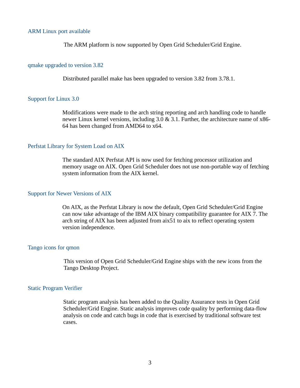#### ARM Linux port available

The ARM platform is now supported by Open Grid Scheduler/Grid Engine.

#### qmake upgraded to version 3.82

Distributed parallel make has been upgraded to version 3.82 from 3.78.1.

#### Support for Linux 3.0

Modifications were made to the arch string reporting and arch handling code to handle newer Linux kernel versions, including 3.0 & 3.1. Further, the architecture name of x86- 64 has been changed from AMD64 to x64.

#### Perfstat Library for System Load on AIX

The standard AIX Perfstat API is now used for fetching processor utilization and memory usage on AIX. Open Grid Scheduler does not use non-portable way of fetching system information from the AIX kernel.

#### Support for Newer Versions of AIX

On AIX, as the Perfstat Library is now the default, Open Grid Scheduler/Grid Engine can now take advantage of the IBM AIX binary compatibility guarantee for AIX 7. The arch string of AIX has been adjusted from aix51 to aix to reflect operating system version independence.

#### Tango icons for qmon

This version of Open Grid Scheduler/Grid Engine ships with the new icons from the Tango Desktop Project.

#### Static Program Verifier

Static program analysis has been added to the Quality Assurance tests in Open Grid Scheduler/Grid Engine. Static analysis improves code quality by performing data-flow analysis on code and catch bugs in code that is exercised by traditional software test cases.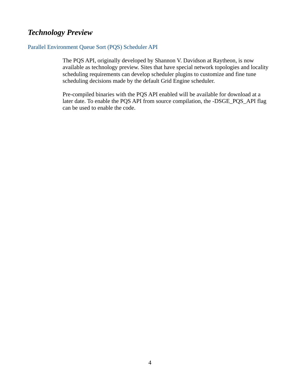# *Technology Preview*

#### Parallel Environment Queue Sort (PQS) Scheduler API

The PQS API, originally developed by Shannon V. Davidson at Raytheon, is now available as technology preview. Sites that have special network topologies and locality scheduling requirements can develop scheduler plugins to customize and fine tune scheduling decisions made by the default Grid Engine scheduler.

Pre-compiled binaries with the PQS API enabled will be available for download at a later date. To enable the PQS API from source compilation, the -DSGE\_PQS\_API flag can be used to enable the code.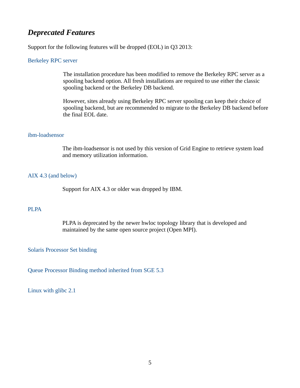## *Deprecated Features*

Support for the following features will be dropped (EOL) in Q3 2013:

#### Berkeley RPC server

The installation procedure has been modified to remove the Berkeley RPC server as a spooling backend option. All fresh installations are required to use either the classic spooling backend or the Berkeley DB backend.

However, sites already using Berkeley RPC server spooling can keep their choice of spooling backend, but are recommended to migrate to the Berkeley DB backend before the final EOL date.

#### ibm-loadsensor

The ibm-loadsensor is not used by this version of Grid Engine to retrieve system load and memory utilization information.

#### AIX 4.3 (and below)

Support for AIX 4.3 or older was dropped by IBM.

#### PLPA

PLPA is deprecated by the newer hwloc topology library that is developed and maintained by the same open source project (Open MPI).

#### Solaris Processor Set binding

Queue Processor Binding method inherited from SGE 5.3

Linux with glibc 2.1